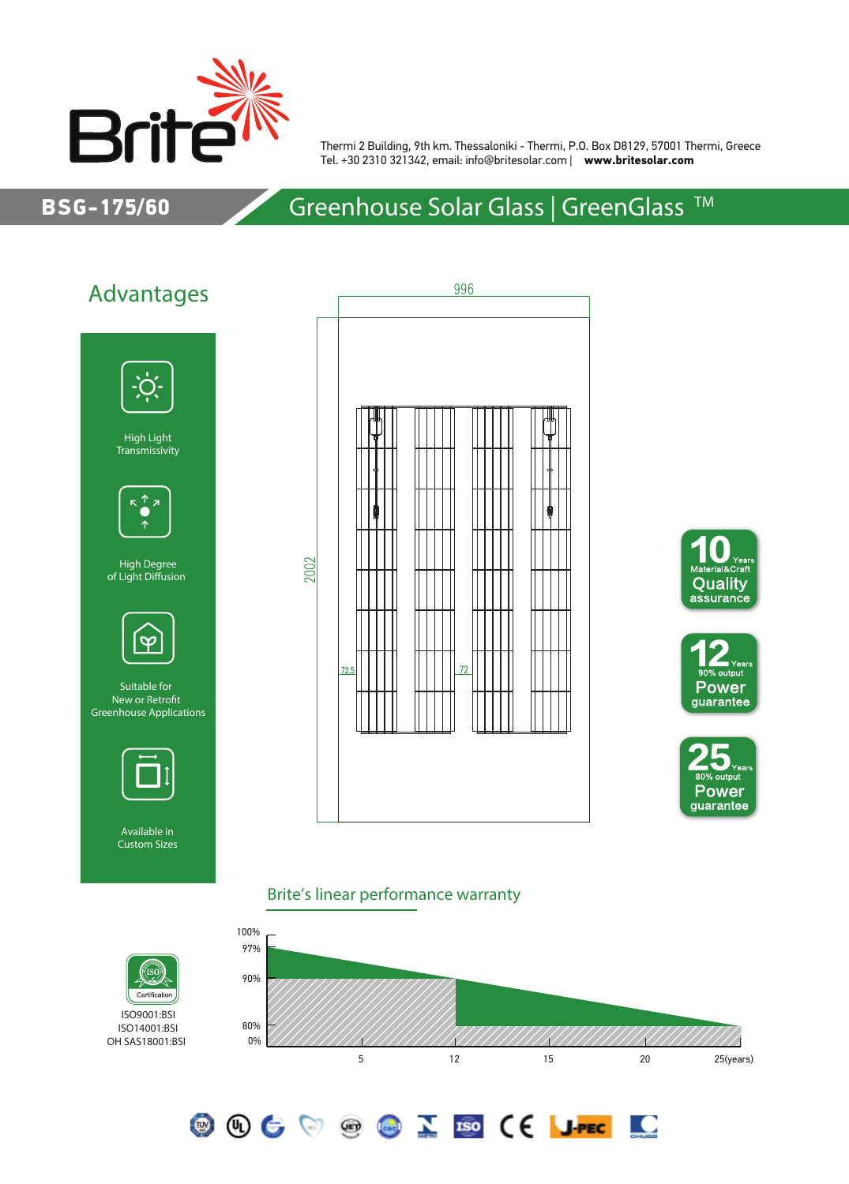

Thermi 2 Building, 9th km. Thessaloniki - Thermi, P.O. Box D8129, 57001 Thermi, Greece Tel. +30 2310 321342, email: info@britesolar.com | **www.britesolar.com**

#### BSG-175/60

## Greenhouse Solar Glass | GreenGlass<sup>™</sup>



Certificatio ISO9001:BSI ISO14001:BSI OH SAS18001:BSI

'ISC









**DO** 

#### Brite's linear performance warranty

**OOCOOCOZECCIPEC**